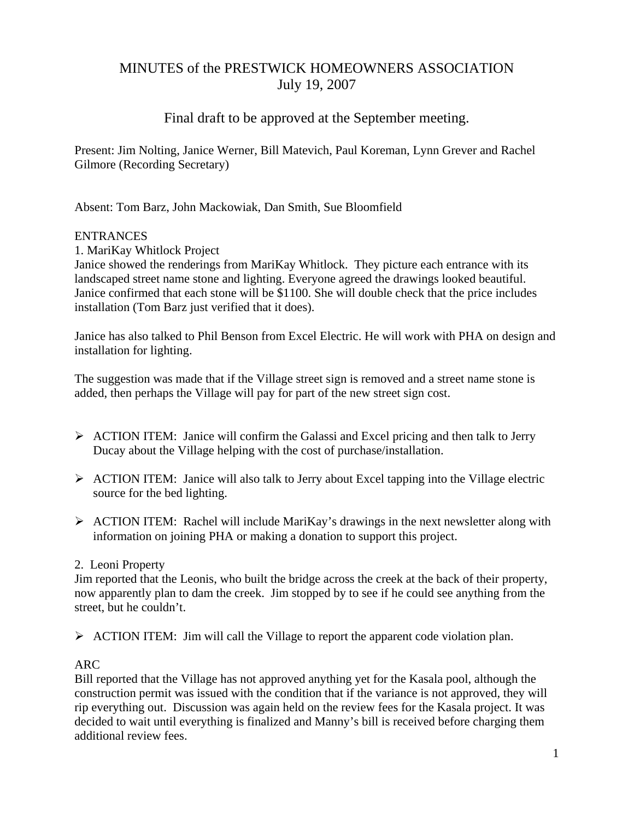# MINUTES of the PRESTWICK HOMEOWNERS ASSOCIATION July 19, 2007

# Final draft to be approved at the September meeting.

Present: Jim Nolting, Janice Werner, Bill Matevich, Paul Koreman, Lynn Grever and Rachel Gilmore (Recording Secretary)

Absent: Tom Barz, John Mackowiak, Dan Smith, Sue Bloomfield

#### **ENTRANCES**

1. MariKay Whitlock Project

Janice showed the renderings from MariKay Whitlock. They picture each entrance with its landscaped street name stone and lighting. Everyone agreed the drawings looked beautiful. Janice confirmed that each stone will be \$1100. She will double check that the price includes installation (Tom Barz just verified that it does).

Janice has also talked to Phil Benson from Excel Electric. He will work with PHA on design and installation for lighting.

The suggestion was made that if the Village street sign is removed and a street name stone is added, then perhaps the Village will pay for part of the new street sign cost.

- $\triangleright$  ACTION ITEM: Janice will confirm the Galassi and Excel pricing and then talk to Jerry Ducay about the Village helping with the cost of purchase/installation.
- $\triangleright$  ACTION ITEM: Janice will also talk to Jerry about Excel tapping into the Village electric source for the bed lighting.
- $\triangleright$  ACTION ITEM: Rachel will include MariKay's drawings in the next newsletter along with information on joining PHA or making a donation to support this project.

# 2. Leoni Property

Jim reported that the Leonis, who built the bridge across the creek at the back of their property, now apparently plan to dam the creek. Jim stopped by to see if he could see anything from the street, but he couldn't.

¾ ACTION ITEM: Jim will call the Village to report the apparent code violation plan.

# ARC

Bill reported that the Village has not approved anything yet for the Kasala pool, although the construction permit was issued with the condition that if the variance is not approved, they will rip everything out. Discussion was again held on the review fees for the Kasala project. It was decided to wait until everything is finalized and Manny's bill is received before charging them additional review fees.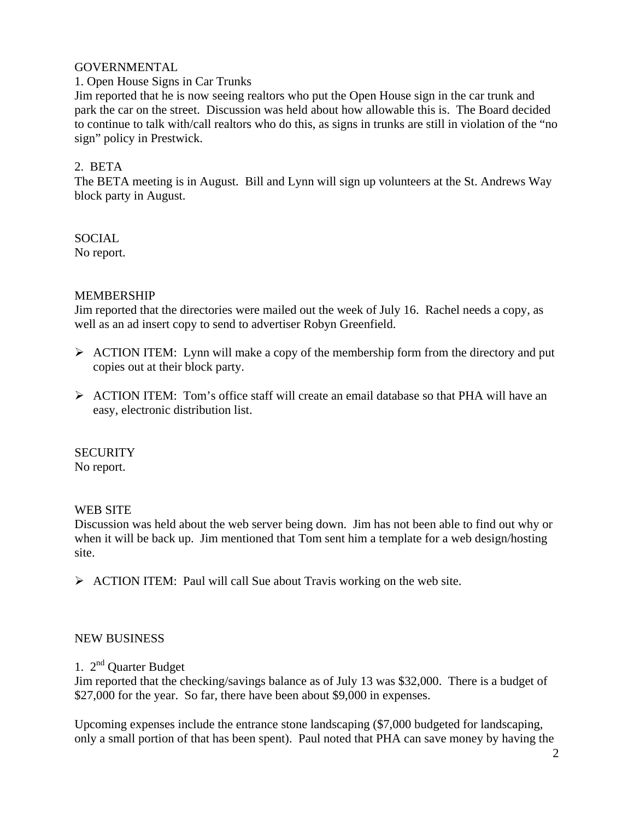# GOVERNMENTAL

### 1. Open House Signs in Car Trunks

Jim reported that he is now seeing realtors who put the Open House sign in the car trunk and park the car on the street. Discussion was held about how allowable this is. The Board decided to continue to talk with/call realtors who do this, as signs in trunks are still in violation of the "no sign" policy in Prestwick.

# 2. BETA

The BETA meeting is in August. Bill and Lynn will sign up volunteers at the St. Andrews Way block party in August.

# SOCIAL

No report.

# MEMBERSHIP

Jim reported that the directories were mailed out the week of July 16. Rachel needs a copy, as well as an ad insert copy to send to advertiser Robyn Greenfield.

- $\triangleright$  ACTION ITEM: Lynn will make a copy of the membership form from the directory and put copies out at their block party.
- $\triangleright$  ACTION ITEM: Tom's office staff will create an email database so that PHA will have an easy, electronic distribution list.

# **SECURITY**

No report.

# WEB SITE

Discussion was held about the web server being down. Jim has not been able to find out why or when it will be back up. Jim mentioned that Tom sent him a template for a web design/hosting site.

 $\triangleright$  ACTION ITEM: Paul will call Sue about Travis working on the web site.

# NEW BUSINESS

# 1. 2nd Quarter Budget

Jim reported that the checking/savings balance as of July 13 was \$32,000. There is a budget of \$27,000 for the year. So far, there have been about \$9,000 in expenses.

Upcoming expenses include the entrance stone landscaping (\$7,000 budgeted for landscaping, only a small portion of that has been spent). Paul noted that PHA can save money by having the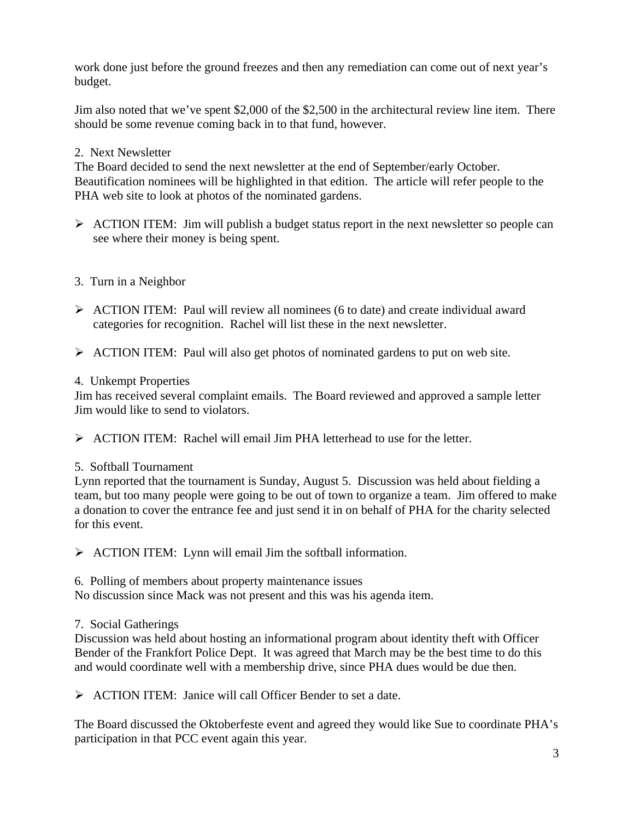work done just before the ground freezes and then any remediation can come out of next year's budget.

Jim also noted that we've spent \$2,000 of the \$2,500 in the architectural review line item. There should be some revenue coming back in to that fund, however.

# 2. Next Newsletter

The Board decided to send the next newsletter at the end of September/early October. Beautification nominees will be highlighted in that edition. The article will refer people to the PHA web site to look at photos of the nominated gardens.

 $\triangleright$  ACTION ITEM: Jim will publish a budget status report in the next newsletter so people can see where their money is being spent.

# 3. Turn in a Neighbor

- $\triangleright$  ACTION ITEM: Paul will review all nominees (6 to date) and create individual award categories for recognition. Rachel will list these in the next newsletter.
- ¾ ACTION ITEM: Paul will also get photos of nominated gardens to put on web site.

# 4. Unkempt Properties

Jim has received several complaint emails. The Board reviewed and approved a sample letter Jim would like to send to violators.

 $\triangleright$  ACTION ITEM: Rachel will email Jim PHA letterhead to use for the letter.

# 5. Softball Tournament

Lynn reported that the tournament is Sunday, August 5. Discussion was held about fielding a team, but too many people were going to be out of town to organize a team. Jim offered to make a donation to cover the entrance fee and just send it in on behalf of PHA for the charity selected for this event.

 $\triangleright$  ACTION ITEM: Lynn will email Jim the softball information.

6. Polling of members about property maintenance issues

No discussion since Mack was not present and this was his agenda item.

# 7. Social Gatherings

Discussion was held about hosting an informational program about identity theft with Officer Bender of the Frankfort Police Dept. It was agreed that March may be the best time to do this and would coordinate well with a membership drive, since PHA dues would be due then.

 $\triangleright$  ACTION ITEM: Janice will call Officer Bender to set a date.

The Board discussed the Oktoberfeste event and agreed they would like Sue to coordinate PHA's participation in that PCC event again this year.